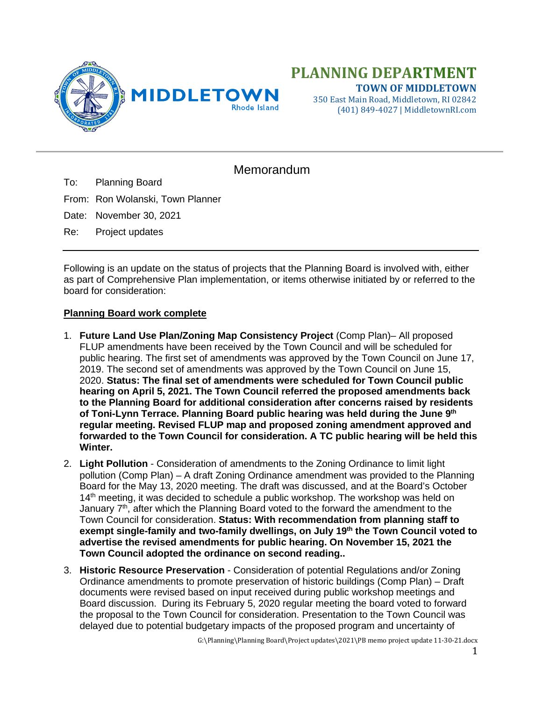

350 East Main Road, Middletown, RI 02842 (401) 849-4027 | MiddletownRI.com

## Memorandum

To: Planning Board

From: Ron Wolanski, Town Planner

Date: November 30, 2021

Re: Project updates

Following is an update on the status of projects that the Planning Board is involved with, either as part of Comprehensive Plan implementation, or items otherwise initiated by or referred to the board for consideration:

## **Planning Board work complete**

- 1. **Future Land Use Plan/Zoning Map Consistency Project** (Comp Plan)– All proposed FLUP amendments have been received by the Town Council and will be scheduled for public hearing. The first set of amendments was approved by the Town Council on June 17, 2019. The second set of amendments was approved by the Town Council on June 15, 2020. **Status: The final set of amendments were scheduled for Town Council public hearing on April 5, 2021. The Town Council referred the proposed amendments back to the Planning Board for additional consideration after concerns raised by residents of Toni-Lynn Terrace. Planning Board public hearing was held during the June 9th regular meeting. Revised FLUP map and proposed zoning amendment approved and forwarded to the Town Council for consideration. A TC public hearing will be held this Winter.**
- 2. **Light Pollution** Consideration of amendments to the Zoning Ordinance to limit light pollution (Comp Plan) – A draft Zoning Ordinance amendment was provided to the Planning Board for the May 13, 2020 meeting. The draft was discussed, and at the Board's October 14<sup>th</sup> meeting, it was decided to schedule a public workshop. The workshop was held on January  $7<sup>th</sup>$ , after which the Planning Board voted to the forward the amendment to the Town Council for consideration. **Status: With recommendation from planning staff to exempt single-family and two-family dwellings, on July 19th the Town Council voted to advertise the revised amendments for public hearing. On November 15, 2021 the Town Council adopted the ordinance on second reading..**
- 3. **Historic Resource Preservation** Consideration of potential Regulations and/or Zoning Ordinance amendments to promote preservation of historic buildings (Comp Plan) – Draft documents were revised based on input received during public workshop meetings and Board discussion. During its February 5, 2020 regular meeting the board voted to forward the proposal to the Town Council for consideration. Presentation to the Town Council was delayed due to potential budgetary impacts of the proposed program and uncertainty of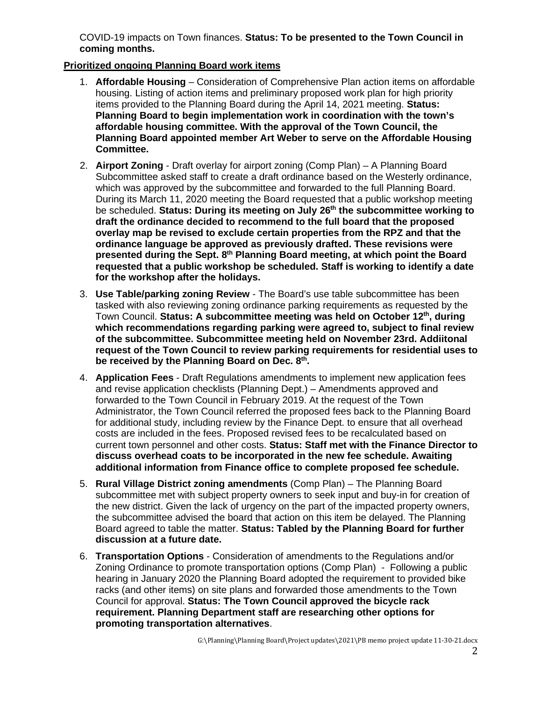COVID-19 impacts on Town finances. **Status: To be presented to the Town Council in coming months.**

## **Prioritized ongoing Planning Board work items**

- 1. **Affordable Housing** Consideration of Comprehensive Plan action items on affordable housing. Listing of action items and preliminary proposed work plan for high priority items provided to the Planning Board during the April 14, 2021 meeting. **Status: Planning Board to begin implementation work in coordination with the town's affordable housing committee. With the approval of the Town Council, the Planning Board appointed member Art Weber to serve on the Affordable Housing Committee.**
- 2. **Airport Zoning** Draft overlay for airport zoning (Comp Plan) A Planning Board Subcommittee asked staff to create a draft ordinance based on the Westerly ordinance, which was approved by the subcommittee and forwarded to the full Planning Board. During its March 11, 2020 meeting the Board requested that a public workshop meeting be scheduled. **Status: During its meeting on July 26th the subcommittee working to draft the ordinance decided to recommend to the full board that the proposed overlay map be revised to exclude certain properties from the RPZ and that the ordinance language be approved as previously drafted. These revisions were presented during the Sept. 8th Planning Board meeting, at which point the Board requested that a public workshop be scheduled. Staff is working to identify a date for the workshop after the holidays.**
- 3. **Use Table/parking zoning Review** The Board's use table subcommittee has been tasked with also reviewing zoning ordinance parking requirements as requested by the Town Council. **Status: A subcommittee meeting was held on October 12th, during which recommendations regarding parking were agreed to, subject to final review of the subcommittee. Subcommittee meeting held on November 23rd. Addiitonal request of the Town Council to review parking requirements for residential uses to be received by the Planning Board on Dec. 8th.**
- 4. **Application Fees** Draft Regulations amendments to implement new application fees and revise application checklists (Planning Dept.) – Amendments approved and forwarded to the Town Council in February 2019. At the request of the Town Administrator, the Town Council referred the proposed fees back to the Planning Board for additional study, including review by the Finance Dept. to ensure that all overhead costs are included in the fees. Proposed revised fees to be recalculated based on current town personnel and other costs. **Status: Staff met with the Finance Director to discuss overhead coats to be incorporated in the new fee schedule. Awaiting additional information from Finance office to complete proposed fee schedule.**
- 5. **Rural Village District zoning amendments** (Comp Plan) The Planning Board subcommittee met with subject property owners to seek input and buy-in for creation of the new district. Given the lack of urgency on the part of the impacted property owners, the subcommittee advised the board that action on this item be delayed. The Planning Board agreed to table the matter. **Status: Tabled by the Planning Board for further discussion at a future date.**
- 6. **Transportation Options** Consideration of amendments to the Regulations and/or Zoning Ordinance to promote transportation options (Comp Plan) - Following a public hearing in January 2020 the Planning Board adopted the requirement to provided bike racks (and other items) on site plans and forwarded those amendments to the Town Council for approval. **Status: The Town Council approved the bicycle rack requirement. Planning Department staff are researching other options for promoting transportation alternatives**.